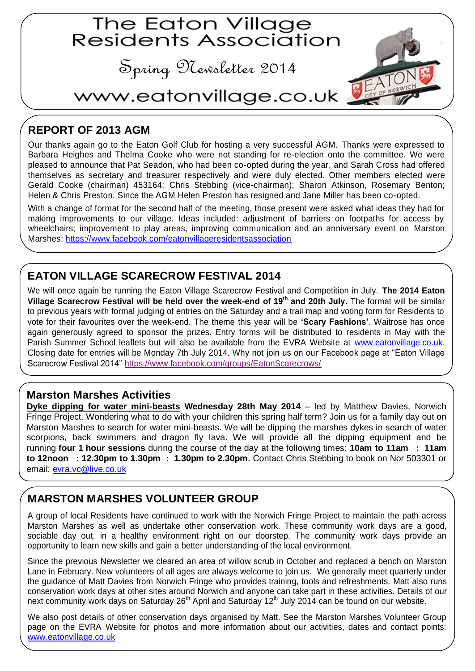# The Eaton Village<br>Residents Association

Spring Newsletter 2014



# www.eatonvillage.co.uk

## **REPORT OF 2013 AGM**

Our thanks again go to the Eaton Golf Club for hosting a very successful AGM. Thanks were expressed to Barbara Heighes and Thelma Cooke who were not standing for re-election onto the committee. We were pleased to announce that Pat Seadon, who had been co-opted during the year, and Sarah Cross had offered themselves as secretary and treasurer respectively and were duly elected. Other members elected were Gerald Cooke (chairman) 453164; Chris Stebbing (vice-chairman); Sharon Atkinson, Rosemary Benton; Helen & Chris Preston. Since the AGM Helen Preston has resigned and Jane Miller has been co-opted.

With a change of format for the second half of the meeting, those present were asked what ideas they had for making improvements to our village. Ideas included: adjustment of barriers on footpaths for access by wheelchairs; improvement to play areas, improving communication and an anniversary event on Marston Marshes:<https://www.facebook.com/eatonvillageresidentsassociation>

#### **EATON VILLAGE SCARECROW FESTIVAL 2014**

We will once again be running the Eaton Village Scarecrow Festival and Competition in July. **The 2014 Eaton Village Scarecrow Festival will be held over the week-end of 19th and 20th July.** The format will be similar to previous years with formal judging of entries on the Saturday and a trail map and voting form for Residents to vote for their favourites over the week-end. The theme this year will be **'Scary Fashions'**. Waitrose has once again generously agreed to sponsor the prizes. Entry forms will be distributed to residents in May with the Parish Summer School leaflets but will also be available from the EVRA Website at [www.eatonvillage.co.uk.](www.eatonvillage.co.uk) Closing date for entries will be Monday 7th July 2014. Why not join us on our Facebook page at "Eaton Village Scarecrow Festival 2014" <https://www.facebook.com/groups/EatonScarecrows/>

#### **Marston Marshes Activities**

**Dyke dipping for water mini-beasts Wednesday 28th May 2014** – led by Matthew Davies, Norwich Fringe Project. Wondering what to do with your children this spring half term? Join us for a family day out on Marston Marshes to search for water mini-beasts. We will be dipping the marshes dykes in search of water scorpions, back swimmers and dragon fly lava. We will provide all the dipping equipment and be running **four 1 hour sessions** during the course of the day at the following times: **10am to 11am : 11am to 12noon : 12.30pm to 1.30pm : 1.30pm to 2.30pm**. Contact Chris Stebbing to book on Nor 503301 or email:<evra.vc@live.co.uk>

#### **MARSTON MARSHES VOLUNTEER GROUP**

A group of local Residents have continued to work with the Norwich Fringe Project to maintain the path across Marston Marshes as well as undertake other conservation work. These community work days are a good, sociable day out, in a healthy environment right on our doorstep. The community work days provide an opportunity to learn new skills and gain a better understanding of the local environment.

Since the previous Newsletter we cleared an area of willow scrub in October and replaced a bench on Marston Lane in February. New volunteers of all ages are always welcome to join us. We generally meet quarterly under the guidance of Matt Davies from Norwich Fringe who provides training, tools and refreshments. Matt also runs conservation work days at other sites around Norwich and anyone can take part in these activities. Details of our next community work days on Saturday 26<sup>th</sup> April and Saturday 12<sup>th</sup> July 2014 can be found on our website.

We also post details of other conservation days organised by Matt. See the Marston Marshes Volunteer Group page on the EVRA Website for photos and more information about our activities, dates and contact points: <www.eatonvillage.co.uk>